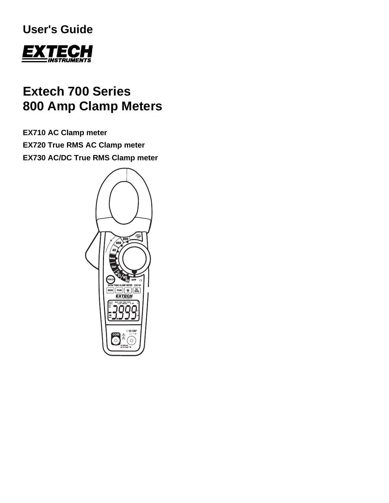# **User's Guide**



# **Extech 700 Series 800 Amp Clamp Meters**

**EX710 AC Clamp meter EX720 True RMS AC Clamp meter EX730 AC/DC True RMS Clamp meter** 

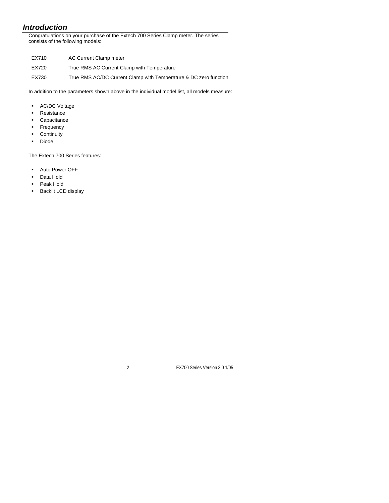# *Introduction*

Congratulations on your purchase of the Extech 700 Series Clamp meter. The series consists of the following models:

- EX710 AC Current Clamp meter
- EX720 True RMS AC Current Clamp with Temperature
- EX730 True RMS AC/DC Current Clamp with Temperature & DC zero function

In addition to the parameters shown above in the individual model list, all models measure:

- **-** AC/DC Voltage
- **Resistance**
- Capacitance
- **Frequency**
- **Continuity**
- **-** Diode

The Extech 700 Series features:

- **Auto Power OFF**
- Data Hold
- Peak Hold
- **Backlit LCD display**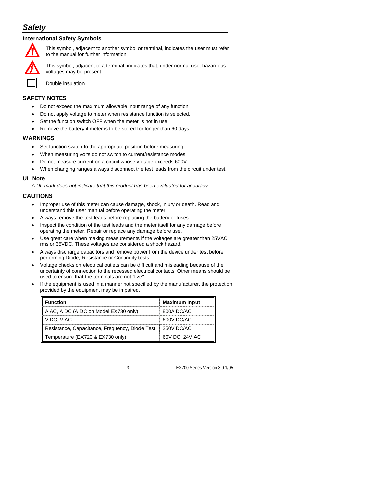# *Safety*

#### **International Safety Symbols**

![](_page_2_Picture_2.jpeg)

This symbol, adjacent to another symbol or terminal, indicates the user must refer to the manual for further information.

This symbol, adjacent to a terminal, indicates that, under normal use, hazardous voltages may be present

Double insulation

#### **SAFETY NOTES**

- Do not exceed the maximum allowable input range of any function.
- Do not apply voltage to meter when resistance function is selected.
- Set the function switch OFF when the meter is not in use.
- Remove the battery if meter is to be stored for longer than 60 days.

#### **WARNINGS**

- Set function switch to the appropriate position before measuring.
- When measuring volts do not switch to current/resistance modes.
- Do not measure current on a circuit whose voltage exceeds 600V.
- When changing ranges always disconnect the test leads from the circuit under test.

#### **UL Note**

*A UL mark does not indicate that this product has been evaluated for accuracy.*

#### **CAUTIONS**

- Improper use of this meter can cause damage, shock, injury or death. Read and understand this user manual before operating the meter.
- Always remove the test leads before replacing the battery or fuses.
- Inspect the condition of the test leads and the meter itself for any damage before operating the meter. Repair or replace any damage before use.
- Use great care when making measurements if the voltages are greater than 25VAC rms or 35VDC. These voltages are considered a shock hazard.
- Always discharge capacitors and remove power from the device under test before performing Diode, Resistance or Continuity tests.
- Voltage checks on electrical outlets can be difficult and misleading because of the uncertainty of connection to the recessed electrical contacts. Other means should be used to ensure that the terminals are not "live".
- If the equipment is used in a manner not specified by the manufacturer, the protection provided by the equipment may be impaired.

| <b>Function</b>                                | <b>Maximum Input</b> |
|------------------------------------------------|----------------------|
| A AC, A DC (A DC on Model EX730 only)          | 800A DC/AC           |
| V DC, V AC                                     | 600V DC/AC           |
| Resistance, Capacitance, Frequency, Diode Test | 250V DC/AC           |
| Temperature (EX720 & EX730 only)               | 60V DC, 24V AC       |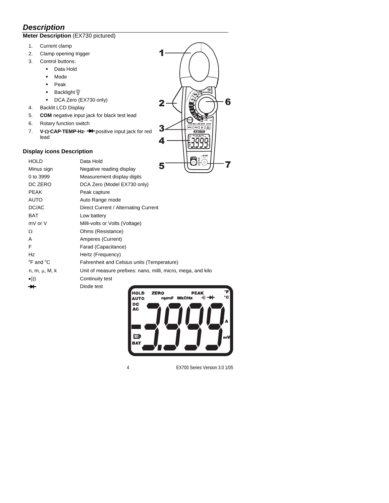# *Description*

### **Meter Description** (EX730 pictured)

- 1. Current clamp
- 2. Clamp opening trigger
- 3. Control buttons:
	- **Data Hold**
	- · Mode
	- **Peak**
	- Backlight  $\overleftrightarrow{q}$
	- DCA Zero (EX730 only)
- 4. Backlit LCD Display
- 5. **COM** negative input jack for black test lead
- 6. Rotary function switch
- 7. **V·**Ω**·CAP·TEMP·Hz·** positive input jack for red lead

### **Display icons Description**

| <b>HOLD</b>                       | $\bigcirc^\bullet$ $\bigcirc^\bullet$<br>Data Hold           |
|-----------------------------------|--------------------------------------------------------------|
| Minus sign                        | Negative reading display                                     |
| 0 to 3999                         | Measurement display digits                                   |
| DC ZERO                           | DCA Zero (Model EX730 only)                                  |
| <b>PEAK</b>                       | Peak capture                                                 |
| <b>AUTO</b>                       | Auto Range mode                                              |
| DC/AC                             | Direct Current / Alternating Current                         |
| <b>BAT</b>                        | Low battery                                                  |
| mV or V                           | Milli-volts or Volts (Voltage)                               |
| Ω                                 | Ohms (Resistance)                                            |
| A                                 | Amperes (Current)                                            |
| F                                 | Farad (Capacitance)                                          |
| Hz                                | Hertz (Frequency)                                            |
| <sup>o</sup> F and <sup>o</sup> C | Fahrenheit and Celsius units (Temperature)                   |
| $n, m, \mu, M, k$                 | Unit of measure prefixes: nano, milli, micro, mega, and kilo |
| $\bullet)))$                      | Continuity test                                              |
|                                   | Diode test                                                   |
|                                   | UAL B<br>REAL                                                |

1

2

6

 $[MDE]$   $[PEJK]$   $[$   $\frac{1}{200}$ EXTECH

7

3 4

![](_page_3_Picture_16.jpeg)

4 EX700 Series Version 3.0 1/05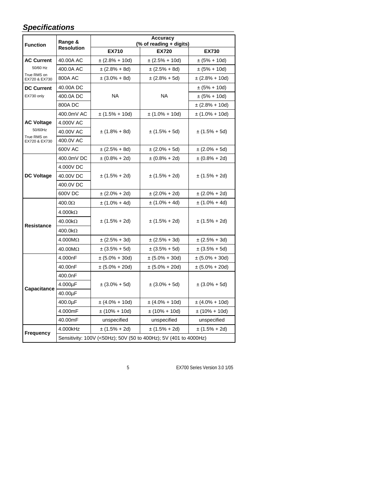# *Specifications*

| <b>Function</b>              | Range &<br><b>Resolution</b>                                     | <b>Accuracy</b><br>(% of reading + digits) |                     |                     |
|------------------------------|------------------------------------------------------------------|--------------------------------------------|---------------------|---------------------|
|                              |                                                                  | <b>EX710</b>                               | <b>EX720</b>        | EX730               |
| <b>AC Current</b>            | 40.00A AC                                                        | $\pm$ (2.8% + 10d)                         | $\pm$ (2.5% + 10d)  | $\pm (5\% + 10d)$   |
| 50/60 Hz                     | 400.0A AC                                                        | $\pm (2.8\% + 8d)$                         | $\pm (2.5\% + 8d)$  | $\pm (5\% + 10d)$   |
| True RMS on<br>EX720 & EX730 | 800A AC                                                          | $\pm (3.0\% + 8d)$                         | $\pm (2.8\% + 5d)$  | $\pm$ (2.8% + 10d)  |
| <b>DC Current</b>            | 40.00A DC                                                        |                                            |                     | $\pm (5\% + 10d)$   |
| EX730 only                   | 400.0A DC                                                        | <b>NA</b>                                  | <b>NA</b>           | $\pm (5\% + 10d)$   |
|                              | 800A DC                                                          |                                            |                     | $\pm$ (2.8% + 10d)  |
|                              | 400.0mV AC                                                       | $\pm$ (1.5% + 10d)                         | $\pm (1.0\% + 10d)$ | $\pm$ (1.0% + 10d)  |
| <b>AC Voltage</b>            | 4.000V AC                                                        |                                            |                     |                     |
| 50/60Hz                      | 40.00V AC                                                        | ± (1.8% + 8d)                              | $\pm (1.5\% + 5d)$  | $\pm (1.5\% + 5d)$  |
| True RMS on<br>EX720 & EX730 | 400.0V AC                                                        |                                            |                     |                     |
|                              | 600V AC                                                          | $\pm (2.5\% + 8d)$                         | $\pm (2.0\% + 5d)$  | $\pm (2.0\% + 5d)$  |
|                              | 400.0mV DC                                                       | $\pm (0.8\% + 2d)$                         | $\pm (0.8\% + 2d)$  | $\pm (0.8\% + 2d)$  |
|                              | 4.000V DC                                                        |                                            |                     | $\pm (1.5\% + 2d)$  |
| <b>DC Voltage</b>            | 40.00V DC                                                        | $\pm (1.5\% + 2d)$                         | $\pm (1.5\% + 2d)$  |                     |
|                              | 400.0V DC                                                        |                                            |                     |                     |
|                              | 600V DC                                                          | $\pm (2.0\% + 2d)$                         | ± (2.0% + 2d)       | $\pm (2.0\% + 2d)$  |
|                              | $400.0\Omega$                                                    | $\pm (1.0\% + 4d)$                         | $\pm (1.0\% + 4d)$  | $\pm (1.0\% + 4d)$  |
|                              | $4.000k\Omega$                                                   | $\pm (1.5\% + 2d)$                         | $\pm (1.5\% + 2d)$  | $\pm (1.5\% + 2d)$  |
| <b>Resistance</b>            | $40.00k\Omega$                                                   |                                            |                     |                     |
|                              | $400.0k\Omega$                                                   |                                            |                     |                     |
|                              | $4.000M\Omega$                                                   | $\pm (2.5\% + 3d)$                         | $\pm (2.5\% + 3d)$  | $\pm (2.5\% + 3d)$  |
|                              | 40.00MΩ                                                          | $\pm (3.5\% + 5d)$                         | $\pm (3.5\% + 5d)$  | $\pm (3.5\% + 5d)$  |
|                              | 4.000nF                                                          | $\pm (5.0\% + 30d)$                        | ± (5.0% + 30d)      | $\pm (5.0\% + 30d)$ |
|                              | 40.00nF                                                          | $\pm (5.0\% + 20d)$                        | $\pm (5.0\% + 20d)$ | $\pm (5.0\% + 20d)$ |
|                              | 400.0nF                                                          |                                            |                     |                     |
| Capacitance                  | 4.000µF                                                          | $\pm (3.0\% + 5d)$                         | $\pm (3.0\% + 5d)$  | $\pm (3.0\% + 5d)$  |
|                              | 40.00µF                                                          |                                            |                     |                     |
|                              | 400.0µF                                                          | $\pm (4.0\% + 10d)$                        | $\pm (4.0\% + 10d)$ | $\pm (4.0\% + 10d)$ |
|                              | 4.000mF                                                          | $\pm (10\% + 10d)$                         | $\pm (10\% + 10d)$  | $\pm (10\% + 10d)$  |
|                              | 40.00mF                                                          | unspecified                                | unspecified         | unspecified         |
|                              | 4.000kHz                                                         | $\pm (1.5\% + 2d)$                         | $\pm (1.5\% + 2d)$  | $\pm (1.5\% + 2d)$  |
| Frequency                    | Sensitivity: 100V (<50Hz); 50V (50 to 400Hz); 5V (401 to 4000Hz) |                                            |                     |                     |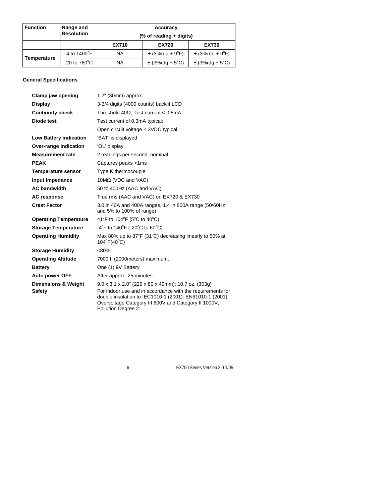| <b>Function</b> | Range and<br><b>Resolution</b> | Accuracy<br>(% of reading + digits) |                     |                     |
|-----------------|--------------------------------|-------------------------------------|---------------------|---------------------|
|                 |                                | <b>EX710</b>                        | <b>EX720</b>        | <b>EX730</b>        |
| Temperature     | -4 to $1400^{\circ}$ F         | NA                                  | $\pm$ (3%rdg + 9°F) | $\pm$ (3%rdg + 9°F) |
|                 | -20 to $760^{\circ}$ C         | NA                                  | $\pm$ (3%rdg + 5°C) | $\pm$ (3%rdg + 5°C) |

#### **General Specifications**

| Clamp jaw opening                               | 1.2" (30mm) approx.                                                                                                                                                                                                                                                      |
|-------------------------------------------------|--------------------------------------------------------------------------------------------------------------------------------------------------------------------------------------------------------------------------------------------------------------------------|
| <b>Display</b>                                  | 3-3/4 digits (4000 counts) backlit LCD                                                                                                                                                                                                                                   |
| <b>Continuity check</b>                         | Threshold 40 $\Omega$ ; Test current < 0.5mA                                                                                                                                                                                                                             |
| Diode test                                      | Test current of 0.3mA typical;                                                                                                                                                                                                                                           |
|                                                 | Open circuit voltage < 3VDC typical                                                                                                                                                                                                                                      |
| <b>Low Battery indication</b>                   | 'BAT' is displayed                                                                                                                                                                                                                                                       |
| Over-range indication                           | 'OL' display                                                                                                                                                                                                                                                             |
| <b>Measurement rate</b>                         | 2 readings per second, nominal                                                                                                                                                                                                                                           |
| <b>PEAK</b>                                     | Captures peaks >1ms                                                                                                                                                                                                                                                      |
| <b>Temperature sensor</b>                       | Type K thermocouple                                                                                                                                                                                                                                                      |
| Input Impedance                                 | $10M\Omega$ (VDC and VAC)                                                                                                                                                                                                                                                |
| <b>AC bandwidth</b>                             | 50 to 400Hz (AAC and VAC)                                                                                                                                                                                                                                                |
| <b>AC response</b>                              | True rms (AAC and VAC) on EX720 & EX730                                                                                                                                                                                                                                  |
| <b>Crest Factor</b>                             | 3.0 in 40A and 400A ranges, 1.4 in 800A range (50/60Hz<br>and 5% to 100% of range)                                                                                                                                                                                       |
| <b>Operating Temperature</b>                    | 41°F to 104°F (5°C to 40°C)                                                                                                                                                                                                                                              |
| <b>Storage Temperature</b>                      | $-4^{\circ}$ F to 140 $^{\circ}$ F (-20 $^{\circ}$ C to 60 $^{\circ}$ C)                                                                                                                                                                                                 |
| <b>Operating Humidity</b>                       | Max 80% up to 87°F (31°C) decreasing linearly to 50% at<br>$104^{\circ}F(40^{\circ}C)$                                                                                                                                                                                   |
| <b>Storage Humidity</b>                         | $< 80\%$                                                                                                                                                                                                                                                                 |
| <b>Operating Altitude</b>                       | 7000ft. (2000meters) maximum.                                                                                                                                                                                                                                            |
| <b>Battery</b>                                  | One (1) 9V Battery                                                                                                                                                                                                                                                       |
| <b>Auto power OFF</b>                           | After approx. 25 minutes                                                                                                                                                                                                                                                 |
| <b>Dimensions &amp; Weight</b><br><b>Safety</b> | $9.0 \times 3.1 \times 2.0$ " (229 x 80 x 49mm); 10.7 oz. (303g)<br>For indoor use and in accordance with the requirements for<br>double insulation to IEC1010-1 (2001): EN61010-1 (2001)<br>Overvoltage Category III 600V and Category II 1000V,<br>Pollution Degree 2. |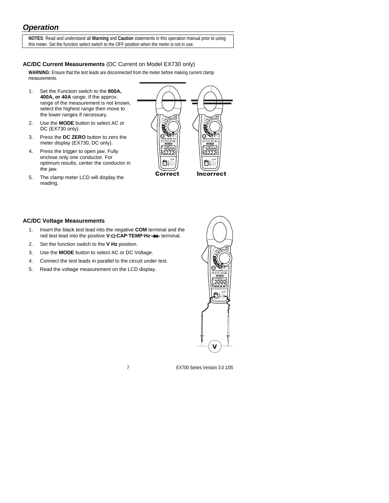# *Operation*

**NOTES**: Read and understand all **Warning** and **Caution** statements in this operation manual prior to using this meter. Set the function select switch to the OFF position when the meter is not in use.

### **AC/DC Current Measurements** (DC Current on Model EX730 only)

**WARNING:** Ensure that the test leads are disconnected from the meter before making current clamp measurements.

- 1. Set the Function switch to the **800A, 400A, or 40A** range. If the approx. range of the measurement is not known, select the highest range then move to the lower ranges if necessary.
- 2. Use the **MODE** button to select AC or DC (EX730 only).
- 3. Press the **DC ZERO** button to zero the meter display (EX730, DC only).
- 4. Press the trigger to open jaw. Fully enclose only one conductor. For optimum results, center the conductor in the jaw.
- 5. The clamp meter LCD will display the reading.

![](_page_6_Picture_9.jpeg)

#### **AC/DC Voltage Measurements**

- 1. Insert the black test lead into the negative **COM** terminal and the red test lead into the positive **V·**Ω**·CAP·TEMP·Hz·** terminal.
- 2. Set the function switch to the **V Hz** position.
- 3. Use the **MODE** button to select AC or DC Voltage.
- 4. Connect the test leads in parallel to the circuit under test.
- 5. Read the voltage measurement on the LCD display.

![](_page_6_Picture_16.jpeg)

7 EX700 Series Version 3.0 1/05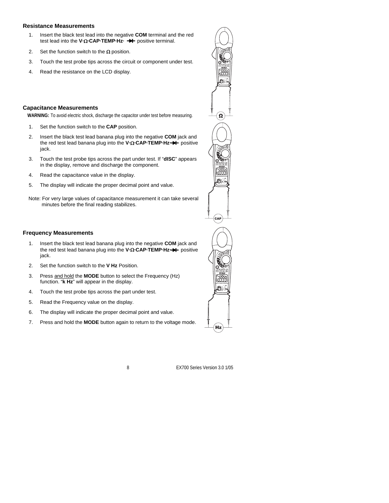#### **Resistance Measurements**

- 1. Insert the black test lead into the negative **COM** terminal and the red test lead into the **V⋅Ω⋅CAP⋅TEMP⋅Hz⋅ →** positive terminal.
- 2. Set the function switch to the  $\Omega$  position.
- 3. Touch the test probe tips across the circuit or component under test.
- 4. Read the resistance on the LCD display.

#### **Capacitance Measurements**

**WARNING:** To avoid electric shock, discharge the capacitor under test before measuring.

- 1. Set the function switch to the **CAP** position.
- 2. Insert the black test lead banana plug into the negative **COM** jack and the red test lead banana plug into the **V·**Ω**·CAP·TEMP·Hz·** positive jack.
- 3. Touch the test probe tips across the part under test. If "**dISC**" appears in the display, remove and discharge the component.
- 4. Read the capacitance value in the display.
- 5. The display will indicate the proper decimal point and value.
- Note: For very large values of capacitance measurement it can take several minutes before the final reading stabilizes.

#### **Frequency Measurements**

- 1. Insert the black test lead banana plug into the negative **COM** jack and the red test lead banana plug into the **V·**Ω**·CAP·TEMP·Hz·** positive jack.
- 2. Set the function switch to the **V Hz** Position.
- 3. Press and hold the **MODE** button to select the Frequency (Hz) function. "**k Hz**" will appear in the display.
- 4. Touch the test probe tips across the part under test.
- 5. Read the Frequency value on the display.
- 6. The display will indicate the proper decimal point and value.
- 7. Press and hold the **MODE** button again to return to the voltage mode.

![](_page_7_Picture_21.jpeg)

8 EX700 Series Version 3.0 1/05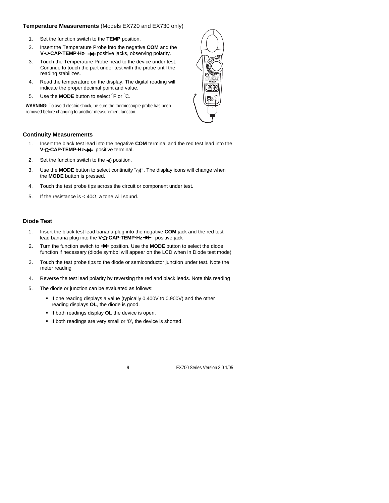#### **Temperature Measurements** (Models EX720 and EX730 only)

- 1. Set the function switch to the **TEMP** position.
- 2. Insert the Temperature Probe into the negative **COM** and the **V·Ω·CAP·TEMP·Hz·**  $\rightarrow$  positive jacks, observing polarity.
- 3. Touch the Temperature Probe head to the device under test. Continue to touch the part under test with the probe until the reading stabilizes.
- 4. Read the temperature on the display. The digital reading will indicate the proper decimal point and value.
- 5. Use the **MODE** button to select <sup>o</sup>F or <sup>o</sup>C.

**WARNING:** To avoid electric shock, be sure the thermocouple probe has been removed before changing to another measurement function.

#### **Continuity Measurements**

- 1. Insert the black test lead into the negative **COM** terminal and the red test lead into the **V·**Ω**·CAP·TEMP·Hz·** positive terminal.
- 2. Set the function switch to the •**)))** position.
- 3. Use the **MODE** button to select continuity "•**)))"**. The display icons will change when the **MODE** button is pressed.
- 4. Touch the test probe tips across the circuit or component under test.
- 5. If the resistance is  $<$  40 $Ω$ , a tone will sound.

#### **Diode Test**

- 1. Insert the black test lead banana plug into the negative **COM** jack and the red test lead banana plug into the **V·**Ω**·CAP·TEMP·Hz·** positive jack
- 2. Turn the function switch to **->+** position. Use the **MODE** button to select the diode function if necessary (diode symbol will appear on the LCD when in Diode test mode)
- 3. Touch the test probe tips to the diode or semiconductor junction under test. Note the meter reading
- 4. Reverse the test lead polarity by reversing the red and black leads. Note this reading
- 5. The diode or junction can be evaluated as follows:
	- If one reading displays a value (typically 0.400V to 0.900V) and the other reading displays **OL**, the diode is good.
	- **If both readings display OL** the device is open.
	- If both readings are very small or '0', the device is shorted.

![](_page_8_Picture_22.jpeg)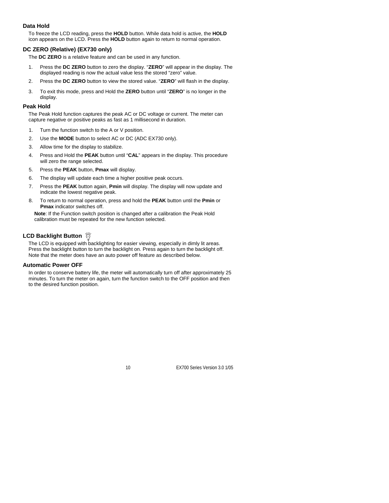#### **Data Hold**

To freeze the LCD reading, press the **HOLD** button. While data hold is active, the **HOLD** icon appears on the LCD. Press the **HOLD** button again to return to normal operation.

#### **DC ZERO (Relative) (EX730 only)**

The **DC ZERO** is a relative feature and can be used in any function.

- 1. Press the **DC ZERO** button to zero the display. "**ZERO**" will appear in the display. The displayed reading is now the actual value less the stored "zero" value.
- 2. Press the **DC ZERO** button to view the stored value. "**ZERO**" will flash in the display.
- 3. To exit this mode, press and Hold the **ZERO** button until "**ZERO**" is no longer in the display.

#### **Peak Hold**

The Peak Hold function captures the peak AC or DC voltage or current. The meter can capture negative or positive peaks as fast as 1 millisecond in duration.

- 1. Turn the function switch to the A or V position.
- 2. Use the **MODE** button to select AC or DC (ADC EX730 only).
- 3. Allow time for the display to stabilize.
- 4. Press and Hold the **PEAK** button until "**CAL**" appears in the display. This procedure will zero the range selected.
- 5. Press the **PEAK** button, **Pmax** will display.
- 6. The display will update each time a higher positive peak occurs.
- 7. Press the **PEAK** button again, **Pmin** will display. The display will now update and indicate the lowest negative peak.
- 8. To return to normal operation, press and hold the **PEAK** button until the **Pmin** or **Pmax** indicator switches off.

**Note**: If the Function switch position is changed after a calibration the Peak Hold calibration must be repeated for the new function selected.

### **LCD Backlight Button Ö**

The LCD is equipped with backlighting for easier viewing, especially in dimly lit areas. Press the backlight button to turn the backlight on. Press again to turn the backlight off. Note that the meter does have an auto power off feature as described below.

#### **Automatic Power OFF**

In order to conserve battery life, the meter will automatically turn off after approximately 25 minutes. To turn the meter on again, turn the function switch to the OFF position and then to the desired function position.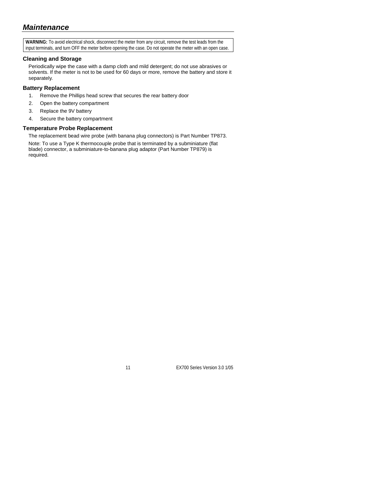**WARNING:** To avoid electrical shock, disconnect the meter from any circuit, remove the test leads from the input terminals, and turn OFF the meter before opening the case. Do not operate the meter with an open case.

#### **Cleaning and Storage**

Periodically wipe the case with a damp cloth and mild detergent; do not use abrasives or solvents. If the meter is not to be used for 60 days or more, remove the battery and store it separately.

#### **Battery Replacement**

- 1. Remove the Phillips head screw that secures the rear battery door
- 2. Open the battery compartment
- 3. Replace the 9V battery
- 4. Secure the battery compartment

#### **Temperature Probe Replacement**

The replacement bead wire probe (with banana plug connectors) is Part Number TP873.

Note: To use a Type K thermocouple probe that is terminated by a subminiature (flat blade) connector, a subminiature-to-banana plug adaptor (Part Number TP879) is required.